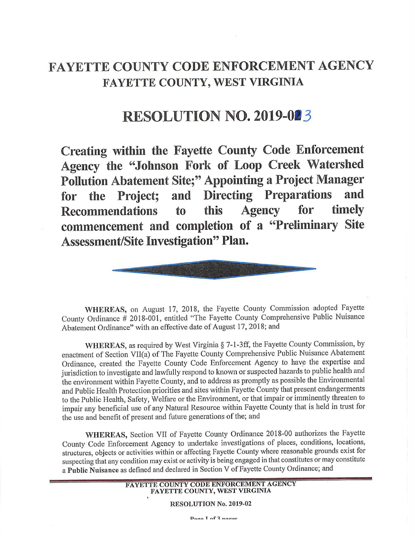## **FAYETTE COUNTY CODE ENFORCEMENT AGENCY FAYETTE COUNTY, WEST VIRGINIA**

## **RESOLUTION NO. 2019-023**

**Creating within the Fayette County Code Enforcement Agency the "Johnson Fork of Loop Creek Watershed Pollution Abatement Site;" Appointing a Project Manager for the Project; and Directing Preparations and Recommendations to this Agency for timely commencement and completion of a "Preliminary Site Assessment/Site Investigation" Plan.** 



**WHEREAS,** on August 17, 2018, the Fayette County Commission adopted Fayette County Ordinance # 20 18-001, entitled "The Fayette County Comprehensive Public Nuisance Abatement Ordinance" with an effective date of August 17, 2018; and

**WHEREAS,** as required by West Virginia§ 7-1-3ff, the Fayette County Commission, by enactment of Section VII(a) of The Fayette County Comprehensive Public Nuisance Abatement Ordinance, created the Fayette County Code Enforcement Agency to have the expertise and jurisdiction to investigate and lawfully respond to known or suspected hazards to public health and the environment within Fayette County, and to address as promptly as possible the Environmental and Public Health Protection priorities and sites within Fayette County that present endangerments to the Public Health, Safety, Welfare or the Environment, or that impair or imminently threaten to impair any beneficial use of any Natural Resource within Fayette County that is held in trust for the use and benefit of present and future generations of the; and

**WHEREAS,** Section VII of Fayette County Ordinance 2018-00 authorizes the Fayette County Code Enforcement Agency to undertake investigations of places, conditions, locations, structures, objects or activities within or affecting Fayette County where reasonable grounds exist for suspecting that any condition may exist or activity is being engaged in that constitutes or may constitute a **Public Nuisance** as defined and declared in Section V of Fayette County Ordinance; and

## **FAYETTE COUNTY CODE ENFORCEMENT AGENCY FAYETTE COUNTY, WEST VIRGINIA**

**RESOLUTION No. 2019-02** 

 $D<sub>0</sub>$   $g_0$   $f_0$   $f_1$   $g_0$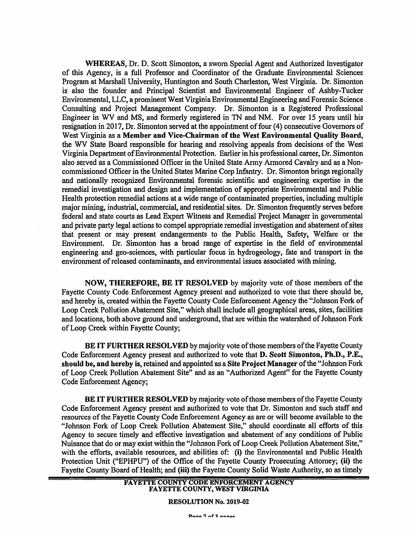**WHEREAS,** Dr. D. Scott Simonton, a swom Special Agent and Authorized Investigator of this Agency, is a full Professor and Coordinator of the Graduate Environmental Sciences Program at Marshall University, Huntington and South Charleston, West Virginia. Dr. Simonton is also the founder and Principal Scientist and Environmental Engineer of Ashby-Tucker Environmental, LLC, a prominent West Virginia Environmental Engineering and Forensic Science Consulting and Project Management Company. Dr. Simonton is a Registered Professional Engineer in WV and MS, and formerly registered in TN and NM. For over 15 years until his resignation in 2017, Dr. Simonton served at the appointment of four (4) consecutive Governors of West Virginia as a **Member and Vice-Chairman of the West Environmental Quality Board,**  the WV State Board responsible for hearing and resolving appeals from decisions of the West Virginia Department of Environmental Protection. Earlier in his professional career, Dr. Simonton also served as a Commissioned Officer in the United State Army Armored Cavalry and as a Noncommissioned Officer in the United States Marine Corp Infantry. Dr. Simonton brings regionally and nationally recognized Environmental forensic scientific and engineering expertise in the remedial investigation and design and implementation of appropriate Environmental and Public Health protection remedial actions at a wide range of contaminated properties, including multiple major mining, industrial, commercial, and residential sites. Dr. Simonton frequently serves before federal and state courts as Lead Expert Witness and Remedial Project Manager in governmental and private party legal actions to compel appropriate remedial investigation and abatement of sites that present or may present endangerments to the Public Health, Safety, Welfare or the Environment. Dr. Simonton has a broad range of expertise in the field of environmental engineering and geo-sciences, with particular focus in hydrogeology, fate and transport in the environment of released contaminants, and environmental issues associated with mining.

**NOW, THEREFORE, BE IT RESOLVED** by majority vote of those members of the Fayette County Code Enforcement Agency present and authorized to vote that there should be, and hereby is, created within the Fayette County Code Enforcement Agency the "Johnson Fork of Loop Creek Pollution Abatement Site," which shall include all geographical areas, sites, facilities and locations, both above ground and underground, that are within the watershed of Johnson Fork of Loop Creek within Fayette County;

**BE IT FURTHER RESOLVED** by majority vote of those members of the Fayette County Code Enforcement Agency present and authorized to vote that **D. Scott Simonton, Ph.D., P.E.**, **should be, and hereby is,** retained and appointed as a **Site Project Manager** of the "Johnson Fork of Loop Creek Pollution Abatement Site" and as an "Authorized Agent" for the Fayette County Code Enforcement Agency;

**BE IT FURTHER RESOLVED** by majority vote of those members of the Fayette County Code Enforcement Agency present and authorized to vote that Dr. Simonton and such staff and resources of the Fayette County Code Enforcement Agency as are or will become available to the "Johnson Fork of Loop Creek Pollution Abatement Site," should coordinate all efforts of this Agency to secure timely and effective investigation and abatement of any conditions of Public Nuisance that do or may exist within the "Johnson Fork of Loop Creek Pollution Abatement Site," with the efforts, available resources, and abilities of: (i) the Environmental and Public Health Protection Unit ("EPHPU") of the Office of the Fayette County Prosecuting Attorney; (ii) the Fayette County Board of Health; and (iii) the Fayette County Solid Waste Authority, so as timely

**RESOLUTION No. 2019-02**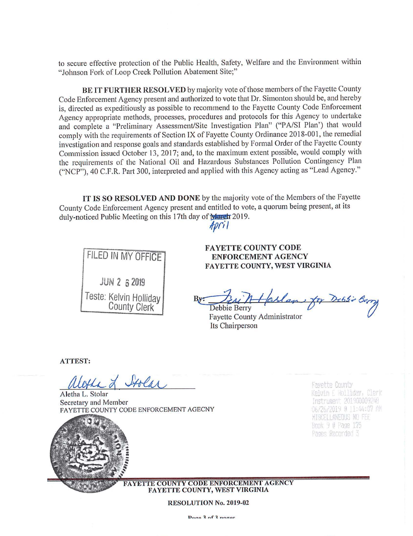to secure effective protection of the Public Health, Safety, Welfare and the Environment within " Johnson Fork of Loop Creek Pollution Abatement Site;"

**BE IT FURTHER RESOLVED** by majority vote of those members of the Fayette County Code Enforcement Agency present and authorized to vote that Dr. Simonton should be, and hereby is, directed as expeditiously as possible to recommend to the Fayette County Code Enforcement Agency appropriate methods, processes, procedures and protocols for this Agency to undertake and complete a "Preliminary Assessment/Site Investigation Plan" ("PA/SI Plan') that would comply with the requirements of Section IX of Fayette County Ordinance 2018-001, the remedial investigation and response goals and standards established by Formal Order of the Fayette County Commission issued October 13, 2017; and, to the maximum extent possible, would comply with the requirements of the National Oil and Hazardous Substances Pollution Contingency Plan ("NCP"), 40 C.f .R. Part 300, interpreted and applied with this Agency acting as "Lead Agency."

**IT IS SO RESOLVED AND DONE** by the majority vote of the Members of the Fayette County Code Enforcement Agency present and entitled to vote, a quorum being present, at its duly-noticed Public Meeting on this 17th day of March 2019.

 $A$ pril



**FAYETTE COUNTY CODE ENFORCEMENT AGENCY FAYETTE COUNTY, WEST VIRGINIA** 

ENFORCEMENT AGENCY<br>FAYETTE COUNTY, WEST VIRGINIA<br>By: Debbie Berry<br>Fayette County Administrator

Fayette County Administrator Its Chairperson

**ATTEST:** 

La L Stolar

Aletha L. Stolar Secretary and Member PAYETTE COUNTY CODE ENFORCEMENT AGECNY

Favette County Kelvin E Holliday, Clerk Instrument 201900009248 06/26/2019 0 11:44:07 AM **HISCELLANEDIS NO FEE Book 9 @ Page 175** Pages Recorded 3

**FAYETTE COUNTY CODE ENFORCEMENT AGENCY FAYETTE COUNTY, WEST VIRGINIA** 

**RESOLUTION No. 2019-02**